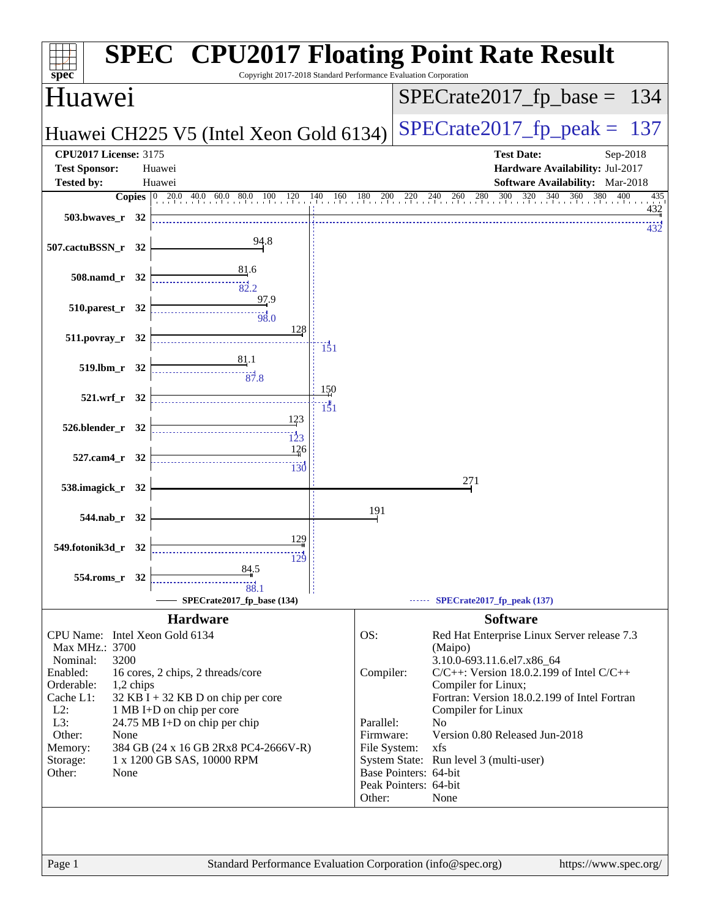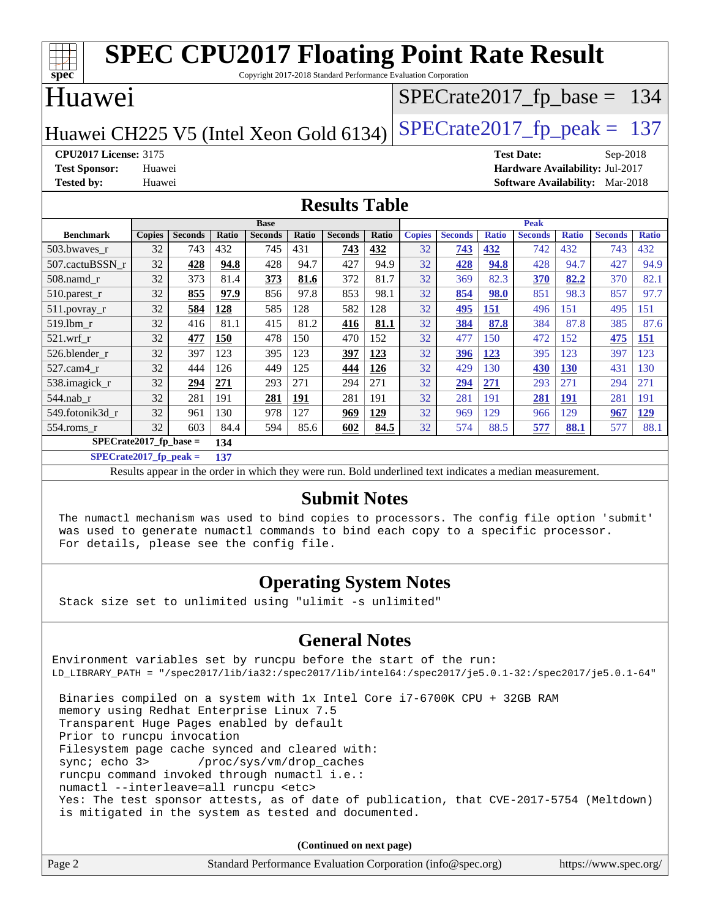| <b>SPEC CPU2017 Floating Point Rate Result</b>                                       |               |                |       |                |              |                               |       |               |                |              |                                        |              |                |              |
|--------------------------------------------------------------------------------------|---------------|----------------|-------|----------------|--------------|-------------------------------|-------|---------------|----------------|--------------|----------------------------------------|--------------|----------------|--------------|
| spec <sup>®</sup><br>Copyright 2017-2018 Standard Performance Evaluation Corporation |               |                |       |                |              |                               |       |               |                |              |                                        |              |                |              |
| Huawei                                                                               |               |                |       |                |              | $SPECrate2017_fp\_base = 134$ |       |               |                |              |                                        |              |                |              |
| $SPECTate2017$ _fp_peak = 137<br>Huawei CH225 V5 (Intel Xeon Gold 6134)              |               |                |       |                |              |                               |       |               |                |              |                                        |              |                |              |
| <b>CPU2017 License: 3175</b>                                                         |               |                |       |                |              |                               |       |               |                |              | <b>Test Date:</b>                      |              | Sep-2018       |              |
| <b>Test Sponsor:</b>                                                                 | Huawei        |                |       |                |              |                               |       |               |                |              | Hardware Availability: Jul-2017        |              |                |              |
| <b>Tested by:</b>                                                                    | Huawei        |                |       |                |              |                               |       |               |                |              | <b>Software Availability:</b> Mar-2018 |              |                |              |
| <b>Results Table</b>                                                                 |               |                |       |                |              |                               |       |               |                |              |                                        |              |                |              |
|                                                                                      |               |                |       | <b>Base</b>    |              |                               |       |               |                |              | Peak                                   |              |                |              |
| <b>Benchmark</b>                                                                     | <b>Copies</b> | <b>Seconds</b> | Ratio | <b>Seconds</b> | <b>Ratio</b> | <b>Seconds</b>                | Ratio | <b>Copies</b> | <b>Seconds</b> | <b>Ratio</b> | <b>Seconds</b>                         | <b>Ratio</b> | <b>Seconds</b> | <b>Ratio</b> |
| 503.bwaves_r                                                                         | 32            | 743            | 432   | 745            | 431          | 743                           | 432   | 32            | 743            | 432          | 742                                    | 432          | 743            | 432          |
| 507.cactuBSSN r                                                                      | 32            | 428            | 94.8  | 428            | 94.7         | 427                           | 94.9  | 32            | 428            | 94.8         | 428                                    | 94.7         | 427            | 94.9         |
| $508$ .namd $r$                                                                      | 32            | 373            | 81.4  | 373            | 81.6         | 372                           | 81.7  | 32            | 369            | 82.3         | 370                                    | 82.2         | 370            | 82.1         |
| 510.parest_r                                                                         | 32            | 855            | 97.9  | 856            | 97.8         | 853                           | 98.1  | 32            | 854            | 98.0         | 851                                    | 98.3         | 857            | 97.7         |
| 511.povray_r                                                                         | 32            | 584            | 128   | 585            | 128          | 582                           | 128   | 32            | 495            | 151          | 496                                    | 151          | 495            | 151          |
| 519.lbm r                                                                            | 32            | 416            | 81.1  | 415            | 81.2         | 416                           | 81.1  | 32            | 384            | 87.8         | 384                                    | 87.8         | 385            | 87.6         |
| $521$ .wrf r                                                                         | 32            | 477            | 150   | 478            | 150          | 470                           | 152   | 32            | 477            | 150          | 472                                    | 152          | 475            | 151          |
| 526.blender r                                                                        | 32            | 397            | 123   | 395            | 123          | 397                           | 123   | 32            | 396            | 123          | 395                                    | 123          | 397            | 123          |
| 527.cam4 r                                                                           | 32            | 444            | 126   | 449            | 125          | 444                           | 126   | 32            | 429            | 130          | 430                                    | 130          | 431            | 130          |
| 538.imagick_r                                                                        | 32            | 294            | 271   | 293            | 271          | 294                           | 271   | 32            | 294            | <b>271</b>   | 293                                    | 271          | 294            | 271          |
| 544.nab_r                                                                            | 32            | 281            | 191   | 281            | 191          | 281                           | 191   | 32            | 281            | 191          | 281                                    | 191          | 281            | 191          |
| 549.fotonik3d r                                                                      | 32            | 961            | 130   | 978            | 127          | 969                           | 129   | 32            | 969            | 129          | 966                                    | 129          | 967            | 129          |
| 554.roms_r                                                                           | 32            | 603            | 84.4  | 594            | 85.6         | 602                           | 84.5  | 32            | 574            | 88.5         | 577                                    | 88.1         | 577            | 88.1         |

**[SPECrate2017\\_fp\\_base =](http://www.spec.org/auto/cpu2017/Docs/result-fields.html#SPECrate2017fpbase) 134**

**[SPECrate2017\\_fp\\_peak =](http://www.spec.org/auto/cpu2017/Docs/result-fields.html#SPECrate2017fppeak) 137**

Results appear in the [order in which they were run.](http://www.spec.org/auto/cpu2017/Docs/result-fields.html#RunOrder) Bold underlined text [indicates a median measurement.](http://www.spec.org/auto/cpu2017/Docs/result-fields.html#Median)

### **[Submit Notes](http://www.spec.org/auto/cpu2017/Docs/result-fields.html#SubmitNotes)**

 The numactl mechanism was used to bind copies to processors. The config file option 'submit' was used to generate numactl commands to bind each copy to a specific processor. For details, please see the config file.

### **[Operating System Notes](http://www.spec.org/auto/cpu2017/Docs/result-fields.html#OperatingSystemNotes)**

Stack size set to unlimited using "ulimit -s unlimited"

### **[General Notes](http://www.spec.org/auto/cpu2017/Docs/result-fields.html#GeneralNotes)**

Environment variables set by runcpu before the start of the run: LD\_LIBRARY\_PATH = "/spec2017/lib/ia32:/spec2017/lib/intel64:/spec2017/je5.0.1-32:/spec2017/je5.0.1-64" Binaries compiled on a system with 1x Intel Core i7-6700K CPU + 32GB RAM memory using Redhat Enterprise Linux 7.5 Transparent Huge Pages enabled by default Prior to runcpu invocation Filesystem page cache synced and cleared with: sync; echo 3> /proc/sys/vm/drop\_caches runcpu command invoked through numactl i.e.:

numactl --interleave=all runcpu <etc>

 Yes: The test sponsor attests, as of date of publication, that CVE-2017-5754 (Meltdown) is mitigated in the system as tested and documented.

**(Continued on next page)**

| Page 2<br>Standard Performance Evaluation Corporation (info@spec.org)<br>https://www.spec.org/ |  |
|------------------------------------------------------------------------------------------------|--|
|------------------------------------------------------------------------------------------------|--|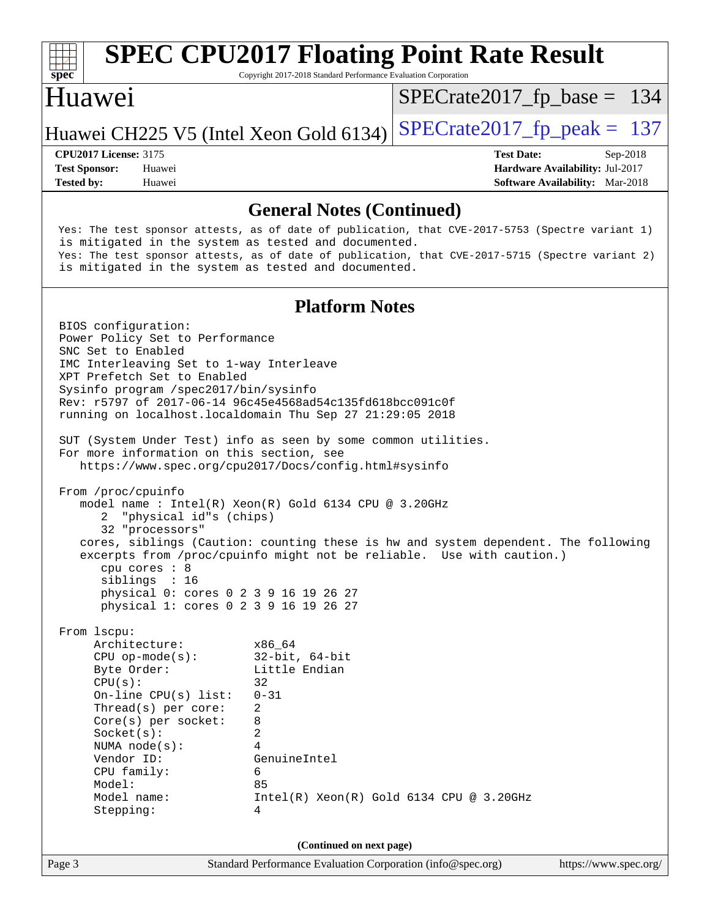

Copyright 2017-2018 Standard Performance Evaluation Corporation

### Huawei

[SPECrate2017\\_fp\\_base =](http://www.spec.org/auto/cpu2017/Docs/result-fields.html#SPECrate2017fpbase) 134

### Huawei CH225 V5 (Intel Xeon Gold 6134) SPECrate  $2017$  fp peak = 137

**[Tested by:](http://www.spec.org/auto/cpu2017/Docs/result-fields.html#Testedby)** Huawei **[Software Availability:](http://www.spec.org/auto/cpu2017/Docs/result-fields.html#SoftwareAvailability)** Mar-2018

**[CPU2017 License:](http://www.spec.org/auto/cpu2017/Docs/result-fields.html#CPU2017License)** 3175 **[Test Date:](http://www.spec.org/auto/cpu2017/Docs/result-fields.html#TestDate)** Sep-2018 **[Test Sponsor:](http://www.spec.org/auto/cpu2017/Docs/result-fields.html#TestSponsor)** Huawei **[Hardware Availability:](http://www.spec.org/auto/cpu2017/Docs/result-fields.html#HardwareAvailability)** Jul-2017

**[General Notes \(Continued\)](http://www.spec.org/auto/cpu2017/Docs/result-fields.html#GeneralNotes)** Yes: The test sponsor attests, as of date of publication, that CVE-2017-5753 (Spectre variant 1) is mitigated in the system as tested and documented. Yes: The test sponsor attests, as of date of publication, that CVE-2017-5715 (Spectre variant 2) is mitigated in the system as tested and documented. **[Platform Notes](http://www.spec.org/auto/cpu2017/Docs/result-fields.html#PlatformNotes)** BIOS configuration: Power Policy Set to Performance SNC Set to Enabled IMC Interleaving Set to 1-way Interleave XPT Prefetch Set to Enabled Sysinfo program /spec2017/bin/sysinfo Rev: r5797 of 2017-06-14 96c45e4568ad54c135fd618bcc091c0f running on localhost.localdomain Thu Sep 27 21:29:05 2018 SUT (System Under Test) info as seen by some common utilities. For more information on this section, see <https://www.spec.org/cpu2017/Docs/config.html#sysinfo> From /proc/cpuinfo model name : Intel(R) Xeon(R) Gold 6134 CPU @ 3.20GHz 2 "physical id"s (chips) 32 "processors" cores, siblings (Caution: counting these is hw and system dependent. The following excerpts from /proc/cpuinfo might not be reliable. Use with caution.) cpu cores : 8 siblings : 16 physical 0: cores 0 2 3 9 16 19 26 27 physical 1: cores 0 2 3 9 16 19 26 27 From lscpu: Architecture: x86\_64 CPU op-mode(s): 32-bit, 64-bit Little Endian  $CPU(s):$  32 On-line CPU(s) list: 0-31 Thread(s) per core: 2 Core(s) per socket: 8 Socket(s): 2 NUMA node(s): 4 Vendor ID: GenuineIntel CPU family: 6 Model: 85 Model name: Intel(R) Xeon(R) Gold 6134 CPU @ 3.20GHz

**(Continued on next page)**

Stepping: 4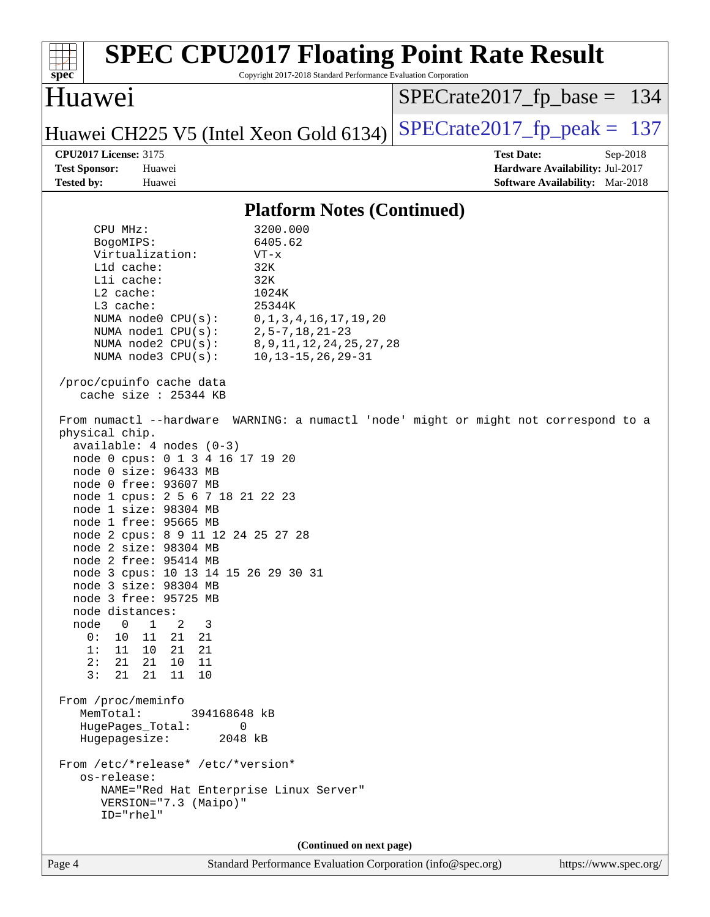| <b>SPEC CPU2017 Floating Point Rate Result</b><br>Copyright 2017-2018 Standard Performance Evaluation Corporation<br>$spec^*$                                                                                                                                                                                                                                                                                                                                                                                                                                                                                                                                                                                                                                                                                                                                                                                                                                                                                                                                                                                                                                                                                                                                                                                                                                             |                                                                                                     |
|---------------------------------------------------------------------------------------------------------------------------------------------------------------------------------------------------------------------------------------------------------------------------------------------------------------------------------------------------------------------------------------------------------------------------------------------------------------------------------------------------------------------------------------------------------------------------------------------------------------------------------------------------------------------------------------------------------------------------------------------------------------------------------------------------------------------------------------------------------------------------------------------------------------------------------------------------------------------------------------------------------------------------------------------------------------------------------------------------------------------------------------------------------------------------------------------------------------------------------------------------------------------------------------------------------------------------------------------------------------------------|-----------------------------------------------------------------------------------------------------|
| Huawei                                                                                                                                                                                                                                                                                                                                                                                                                                                                                                                                                                                                                                                                                                                                                                                                                                                                                                                                                                                                                                                                                                                                                                                                                                                                                                                                                                    | $SPECrate2017_fp\_base = 134$                                                                       |
| Huawei CH225 V5 (Intel Xeon Gold 6134)                                                                                                                                                                                                                                                                                                                                                                                                                                                                                                                                                                                                                                                                                                                                                                                                                                                                                                                                                                                                                                                                                                                                                                                                                                                                                                                                    | $SPECrate2017_fp\_peak = 137$                                                                       |
| <b>CPU2017 License: 3175</b><br><b>Test Sponsor:</b><br>Huawei<br><b>Tested by:</b><br>Huawei                                                                                                                                                                                                                                                                                                                                                                                                                                                                                                                                                                                                                                                                                                                                                                                                                                                                                                                                                                                                                                                                                                                                                                                                                                                                             | <b>Test Date:</b><br>Sep-2018<br>Hardware Availability: Jul-2017<br>Software Availability: Mar-2018 |
| <b>Platform Notes (Continued)</b>                                                                                                                                                                                                                                                                                                                                                                                                                                                                                                                                                                                                                                                                                                                                                                                                                                                                                                                                                                                                                                                                                                                                                                                                                                                                                                                                         |                                                                                                     |
| 3200.000<br>CPU MHz:<br>6405.62<br>BogoMIPS:<br>Virtualization:<br>$VT - x$<br>L1d cache:<br>32K<br>Lli cache:<br>32K<br>L2 cache:<br>1024K<br>L3 cache:<br>25344K<br>NUMA node0 CPU(s):<br>0, 1, 3, 4, 16, 17, 19, 20<br>$2, 5 - 7, 18, 21 - 23$<br>NUMA nodel CPU(s):<br>NUMA $node2$ $CPU(s):$<br>8, 9, 11, 12, 24, 25, 27, 28<br>NUMA $node3$ $CPU(s):$<br>$10, 13 - 15, 26, 29 - 31$<br>/proc/cpuinfo cache data<br>cache size : 25344 KB<br>From numactl --hardware WARNING: a numactl 'node' might or might not correspond to a<br>physical chip.<br>$available: 4 nodes (0-3)$<br>node 0 cpus: 0 1 3 4 16 17 19 20<br>node 0 size: 96433 MB<br>node 0 free: 93607 MB<br>node 1 cpus: 2 5 6 7 18 21 22 23<br>node 1 size: 98304 MB<br>node 1 free: 95665 MB<br>node 2 cpus: 8 9 11 12 24 25 27 28<br>node 2 size: 98304 MB<br>node 2 free: 95414 MB<br>node 3 cpus: 10 13 14 15 26 29 30 31<br>node 3 size: 98304 MB<br>node 3 free: 95725 MB<br>node distances:<br>node<br>$\overline{0}$<br>$\mathbf{1}$<br>2<br>3<br>0 :<br>10<br>11<br>21 21<br>1:11<br>10 21 21<br>2:<br>21<br>21<br>10<br>- 11<br>3:<br>21<br>21<br>11<br>10<br>From /proc/meminfo<br>MemTotal:<br>394168648 kB<br>HugePages_Total:<br>0<br>Hugepagesize:<br>2048 kB<br>From /etc/*release* /etc/*version*<br>os-release:<br>NAME="Red Hat Enterprise Linux Server"<br>VERSION="7.3 (Maipo)" |                                                                                                     |
| ID="rhel"                                                                                                                                                                                                                                                                                                                                                                                                                                                                                                                                                                                                                                                                                                                                                                                                                                                                                                                                                                                                                                                                                                                                                                                                                                                                                                                                                                 |                                                                                                     |
| (Continued on next page)<br>Page 4<br>Standard Performance Evaluation Corporation (info@spec.org)                                                                                                                                                                                                                                                                                                                                                                                                                                                                                                                                                                                                                                                                                                                                                                                                                                                                                                                                                                                                                                                                                                                                                                                                                                                                         | https://www.spec.org/                                                                               |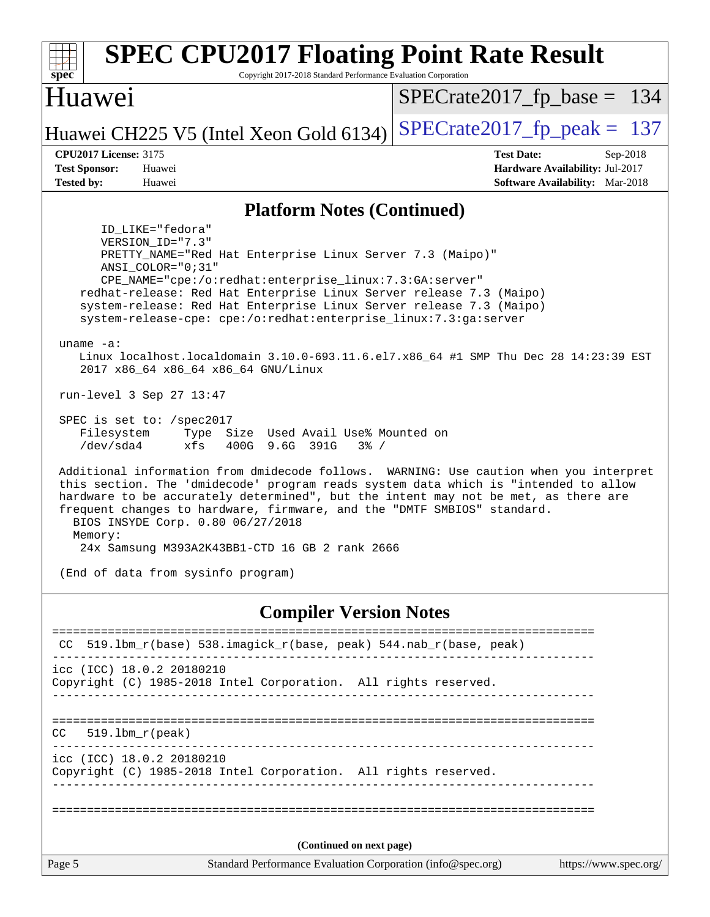| <b>SPEC CPU2017 Floating Point Rate Result</b><br>spec<br>Copyright 2017-2018 Standard Performance Evaluation Corporation                                                                                                                                                                                                                                                                                                                                                                                                                                                                                                                                                                                                                                                                                                                                                                                                                                                                                                                                                                                                                                                                                                |                                                                                                            |  |  |  |  |  |
|--------------------------------------------------------------------------------------------------------------------------------------------------------------------------------------------------------------------------------------------------------------------------------------------------------------------------------------------------------------------------------------------------------------------------------------------------------------------------------------------------------------------------------------------------------------------------------------------------------------------------------------------------------------------------------------------------------------------------------------------------------------------------------------------------------------------------------------------------------------------------------------------------------------------------------------------------------------------------------------------------------------------------------------------------------------------------------------------------------------------------------------------------------------------------------------------------------------------------|------------------------------------------------------------------------------------------------------------|--|--|--|--|--|
| <b>Huawei</b>                                                                                                                                                                                                                                                                                                                                                                                                                                                                                                                                                                                                                                                                                                                                                                                                                                                                                                                                                                                                                                                                                                                                                                                                            | $SPECrate2017_fp\_base = 134$                                                                              |  |  |  |  |  |
| Huawei CH225 V5 (Intel Xeon Gold 6134)                                                                                                                                                                                                                                                                                                                                                                                                                                                                                                                                                                                                                                                                                                                                                                                                                                                                                                                                                                                                                                                                                                                                                                                   | $SPECrate2017_fp\_peak = 137$                                                                              |  |  |  |  |  |
| <b>CPU2017 License: 3175</b><br><b>Test Sponsor:</b><br>Huawei<br><b>Tested by:</b><br>Huawei                                                                                                                                                                                                                                                                                                                                                                                                                                                                                                                                                                                                                                                                                                                                                                                                                                                                                                                                                                                                                                                                                                                            | <b>Test Date:</b><br>Sep-2018<br>Hardware Availability: Jul-2017<br><b>Software Availability:</b> Mar-2018 |  |  |  |  |  |
| <b>Platform Notes (Continued)</b>                                                                                                                                                                                                                                                                                                                                                                                                                                                                                                                                                                                                                                                                                                                                                                                                                                                                                                                                                                                                                                                                                                                                                                                        |                                                                                                            |  |  |  |  |  |
| ID_LIKE="fedora"<br>VERSION_ID="7.3"<br>PRETTY_NAME="Red Hat Enterprise Linux Server 7.3 (Maipo)"<br>ANSI COLOR="0;31"<br>$CPE\_NAME="cpe://o:redhat:enterprise\_linux:7.3:GA:server"$<br>redhat-release: Red Hat Enterprise Linux Server release 7.3 (Maipo)<br>system-release: Red Hat Enterprise Linux Server release 7.3 (Maipo)<br>system-release-cpe: cpe:/o:redhat:enterprise_linux:7.3:ga:server<br>uname $-a$ :<br>Linux localhost.localdomain 3.10.0-693.11.6.el7.x86_64 #1 SMP Thu Dec 28 14:23:39 EST<br>2017 x86_64 x86_64 x86_64 GNU/Linux<br>run-level 3 Sep 27 13:47<br>SPEC is set to: /spec2017<br>Filesystem Type Size Used Avail Use% Mounted on<br>/dev/sda4<br>xfs<br>400G 9.6G 391G<br>$3\frac{6}{6}$ /<br>Additional information from dmidecode follows. WARNING: Use caution when you interpret<br>this section. The 'dmidecode' program reads system data which is "intended to allow<br>hardware to be accurately determined", but the intent may not be met, as there are<br>frequent changes to hardware, firmware, and the "DMTF SMBIOS" standard.<br>BIOS INSYDE Corp. 0.80 06/27/2018<br>Memory:<br>24x Samsung M393A2K43BB1-CTD 16 GB 2 rank 2666<br>(End of data from sysinfo program) |                                                                                                            |  |  |  |  |  |
| <b>Compiler Version Notes</b>                                                                                                                                                                                                                                                                                                                                                                                                                                                                                                                                                                                                                                                                                                                                                                                                                                                                                                                                                                                                                                                                                                                                                                                            |                                                                                                            |  |  |  |  |  |
| 519.1bm_r(base) 538.imagick_r(base, peak) 544.nab_r(base, peak)<br>CC.                                                                                                                                                                                                                                                                                                                                                                                                                                                                                                                                                                                                                                                                                                                                                                                                                                                                                                                                                                                                                                                                                                                                                   |                                                                                                            |  |  |  |  |  |
| icc (ICC) 18.0.2 20180210<br>Copyright (C) 1985-2018 Intel Corporation. All rights reserved.                                                                                                                                                                                                                                                                                                                                                                                                                                                                                                                                                                                                                                                                                                                                                                                                                                                                                                                                                                                                                                                                                                                             |                                                                                                            |  |  |  |  |  |
| $519.1bm_r(peak)$<br>CC.                                                                                                                                                                                                                                                                                                                                                                                                                                                                                                                                                                                                                                                                                                                                                                                                                                                                                                                                                                                                                                                                                                                                                                                                 |                                                                                                            |  |  |  |  |  |
| icc (ICC) 18.0.2 20180210<br>Copyright (C) 1985-2018 Intel Corporation. All rights reserved.                                                                                                                                                                                                                                                                                                                                                                                                                                                                                                                                                                                                                                                                                                                                                                                                                                                                                                                                                                                                                                                                                                                             |                                                                                                            |  |  |  |  |  |
|                                                                                                                                                                                                                                                                                                                                                                                                                                                                                                                                                                                                                                                                                                                                                                                                                                                                                                                                                                                                                                                                                                                                                                                                                          |                                                                                                            |  |  |  |  |  |
| (Continued on next page)<br>Page 5<br>Standard Performance Evaluation Corporation (info@spec.org)                                                                                                                                                                                                                                                                                                                                                                                                                                                                                                                                                                                                                                                                                                                                                                                                                                                                                                                                                                                                                                                                                                                        | https://www.spec.org/                                                                                      |  |  |  |  |  |
|                                                                                                                                                                                                                                                                                                                                                                                                                                                                                                                                                                                                                                                                                                                                                                                                                                                                                                                                                                                                                                                                                                                                                                                                                          |                                                                                                            |  |  |  |  |  |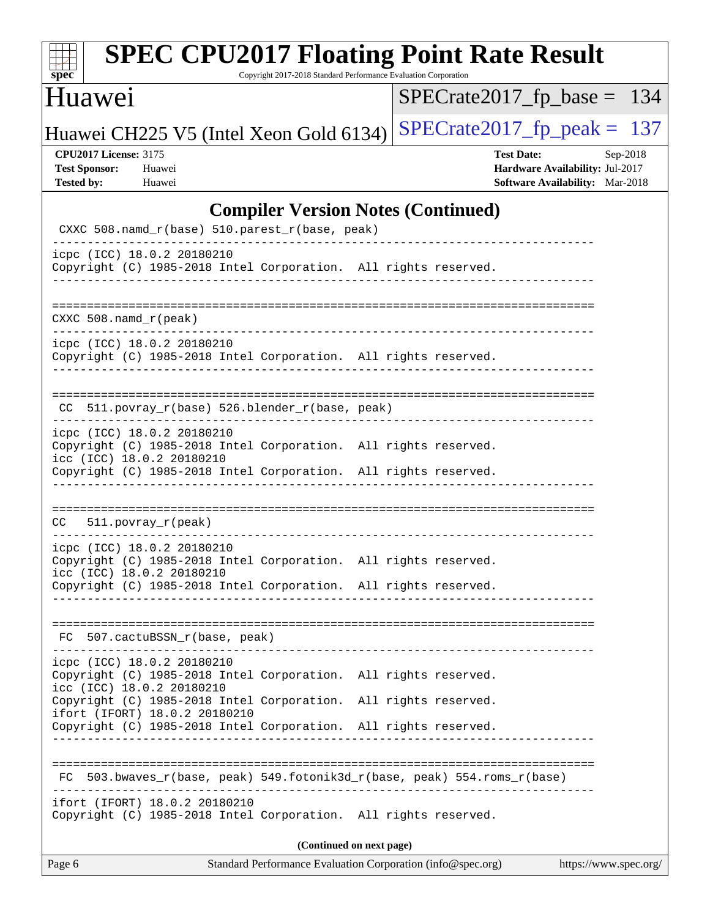| s<br>ne<br>I<br>Ľ |  |  |  |  |  |
|-------------------|--|--|--|--|--|

Copyright 2017-2018 Standard Performance Evaluation Corporation

## Huawei

[SPECrate2017\\_fp\\_base =](http://www.spec.org/auto/cpu2017/Docs/result-fields.html#SPECrate2017fpbase) 134

Huawei CH225 V5 (Intel Xeon Gold 6134) [SPECrate2017\\_fp\\_peak =](http://www.spec.org/auto/cpu2017/Docs/result-fields.html#SPECrate2017fppeak)  $137$ 

**[CPU2017 License:](http://www.spec.org/auto/cpu2017/Docs/result-fields.html#CPU2017License)** 3175 **[Test Date:](http://www.spec.org/auto/cpu2017/Docs/result-fields.html#TestDate)** Sep-2018

**[Test Sponsor:](http://www.spec.org/auto/cpu2017/Docs/result-fields.html#TestSponsor)** Huawei **[Hardware Availability:](http://www.spec.org/auto/cpu2017/Docs/result-fields.html#HardwareAvailability)** Jul-2017 **[Tested by:](http://www.spec.org/auto/cpu2017/Docs/result-fields.html#Testedby)** Huawei **[Software Availability:](http://www.spec.org/auto/cpu2017/Docs/result-fields.html#SoftwareAvailability)** Mar-2018

### **[Compiler Version Notes \(Continued\)](http://www.spec.org/auto/cpu2017/Docs/result-fields.html#CompilerVersionNotes)**

| Standard Performance Evaluation Corporation (info@spec.org)<br>Page 6<br>https://www.spec.org/                              |
|-----------------------------------------------------------------------------------------------------------------------------|
| (Continued on next page)                                                                                                    |
| ifort (IFORT) 18.0.2 20180210<br>Copyright (C) 1985-2018 Intel Corporation. All rights reserved.                            |
| 503.bwaves_r(base, peak) 549.fotonik3d_r(base, peak) 554.roms_r(base)<br>FC.                                                |
| ifort (IFORT) 18.0.2 20180210<br>Copyright (C) 1985-2018 Intel Corporation. All rights reserved.                            |
| icc (ICC) 18.0.2 20180210<br>Copyright (C) 1985-2018 Intel Corporation.<br>All rights reserved.                             |
| icpc (ICC) 18.0.2 20180210<br>Copyright (C) 1985-2018 Intel Corporation. All rights reserved.                               |
| FC 507.cactuBSSN_r(base, peak)                                                                                              |
| icc (ICC) 18.0.2 20180210<br>Copyright (C) 1985-2018 Intel Corporation. All rights reserved.                                |
| icpc (ICC) 18.0.2 20180210<br>Copyright (C) 1985-2018 Intel Corporation. All rights reserved.                               |
| CC 511.povray_r(peak)                                                                                                       |
| Copyright (C) 1985-2018 Intel Corporation. All rights reserved.                                                             |
| icpc (ICC) 18.0.2 20180210<br>Copyright (C) 1985-2018 Intel Corporation. All rights reserved.<br>icc (ICC) 18.0.2 20180210  |
| CC 511.povray_r(base) 526.blender_r(base, peak)                                                                             |
| icpc (ICC) 18.0.2 20180210<br>Copyright (C) 1985-2018 Intel Corporation. All rights reserved.<br>__________________________ |
| $CXXC 508.namd_r (peak)$                                                                                                    |
| Copyright (C) 1985-2018 Intel Corporation. All rights reserved.                                                             |
| CXXC 508.namd_r(base) 510.parest_r(base, peak)<br>icpc (ICC) 18.0.2 20180210                                                |
|                                                                                                                             |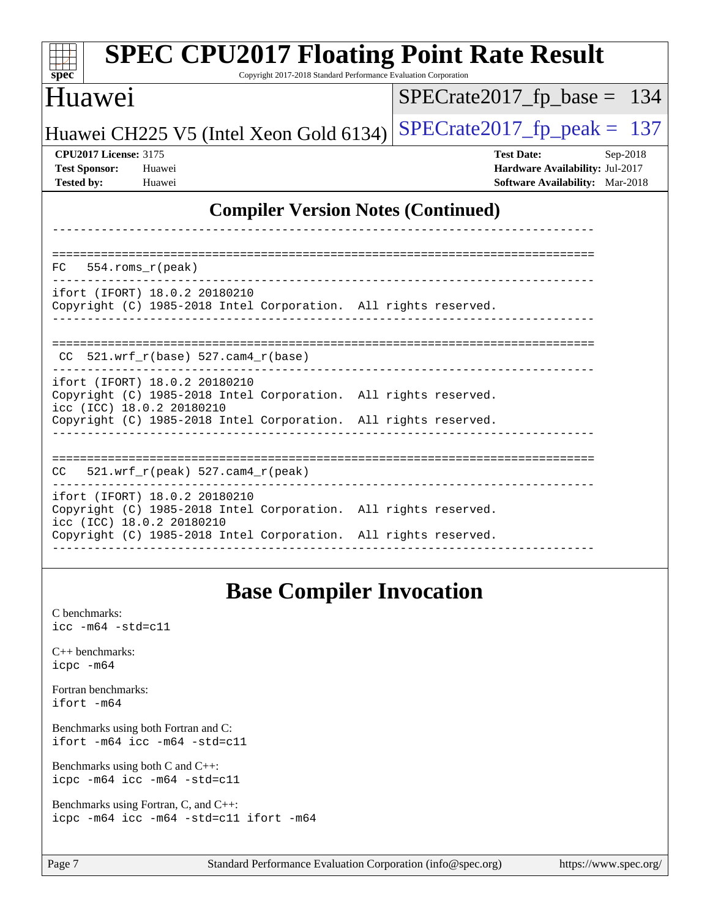| <b>SPEC CPU2017 Floating Point Rate Result</b><br>Copyright 2017-2018 Standard Performance Evaluation Corporation<br>spec <sup>®</sup>                                                           |                                                                                                     |
|--------------------------------------------------------------------------------------------------------------------------------------------------------------------------------------------------|-----------------------------------------------------------------------------------------------------|
| <b>Huawei</b>                                                                                                                                                                                    | $SPECrate2017_fp\_base = 134$                                                                       |
| Huawei CH225 V5 (Intel Xeon Gold 6134)                                                                                                                                                           | $SPECTate2017$ _fp_peak = 137                                                                       |
| <b>CPU2017 License: 3175</b><br><b>Test Sponsor:</b><br>Huawei<br><b>Tested by:</b><br>Huawei                                                                                                    | <b>Test Date:</b><br>Sep-2018<br>Hardware Availability: Jul-2017<br>Software Availability: Mar-2018 |
| <b>Compiler Version Notes (Continued)</b>                                                                                                                                                        |                                                                                                     |
| 554.roms_r(peak)<br>FC                                                                                                                                                                           |                                                                                                     |
| ifort (IFORT) 18.0.2 20180210<br>Copyright (C) 1985-2018 Intel Corporation. All rights reserved.                                                                                                 |                                                                                                     |
| $CC$ 521.wrf_r(base) 527.cam4_r(base)                                                                                                                                                            |                                                                                                     |
| ifort (IFORT) 18.0.2 20180210<br>Copyright (C) 1985-2018 Intel Corporation. All rights reserved.<br>icc (ICC) 18.0.2 20180210<br>Copyright (C) 1985-2018 Intel Corporation. All rights reserved. |                                                                                                     |
| 521.wrf_r(peak) 527.cam4_r(peak)<br>CC.                                                                                                                                                          |                                                                                                     |
| ifort (IFORT) 18.0.2 20180210<br>Copyright (C) 1985-2018 Intel Corporation. All rights reserved.<br>icc (ICC) 18.0.2 20180210                                                                    |                                                                                                     |
| Copyright (C) 1985-2018 Intel Corporation. All rights reserved.                                                                                                                                  |                                                                                                     |
| <b>Base Compiler Invocation</b>                                                                                                                                                                  |                                                                                                     |
| C benchmarks:<br>$\text{icc}$ -m64 -std=c11                                                                                                                                                      |                                                                                                     |
| $C++$ benchmarks:                                                                                                                                                                                |                                                                                                     |

[Fortran benchmarks](http://www.spec.org/auto/cpu2017/Docs/result-fields.html#Fortranbenchmarks): [ifort -m64](http://www.spec.org/cpu2017/results/res2018q4/cpu2017-20181007-09080.flags.html#user_FCbase_intel_ifort_64bit_24f2bb282fbaeffd6157abe4f878425411749daecae9a33200eee2bee2fe76f3b89351d69a8130dd5949958ce389cf37ff59a95e7a40d588e8d3a57e0c3fd751)

[icpc -m64](http://www.spec.org/cpu2017/results/res2018q4/cpu2017-20181007-09080.flags.html#user_CXXbase_intel_icpc_64bit_4ecb2543ae3f1412ef961e0650ca070fec7b7afdcd6ed48761b84423119d1bf6bdf5cad15b44d48e7256388bc77273b966e5eb805aefd121eb22e9299b2ec9d9)

[Benchmarks using both Fortran and C](http://www.spec.org/auto/cpu2017/Docs/result-fields.html#BenchmarksusingbothFortranandC): [ifort -m64](http://www.spec.org/cpu2017/results/res2018q4/cpu2017-20181007-09080.flags.html#user_CC_FCbase_intel_ifort_64bit_24f2bb282fbaeffd6157abe4f878425411749daecae9a33200eee2bee2fe76f3b89351d69a8130dd5949958ce389cf37ff59a95e7a40d588e8d3a57e0c3fd751) [icc -m64 -std=c11](http://www.spec.org/cpu2017/results/res2018q4/cpu2017-20181007-09080.flags.html#user_CC_FCbase_intel_icc_64bit_c11_33ee0cdaae7deeeab2a9725423ba97205ce30f63b9926c2519791662299b76a0318f32ddfffdc46587804de3178b4f9328c46fa7c2b0cd779d7a61945c91cd35)

[Benchmarks using both C and C++](http://www.spec.org/auto/cpu2017/Docs/result-fields.html#BenchmarksusingbothCandCXX): [icpc -m64](http://www.spec.org/cpu2017/results/res2018q4/cpu2017-20181007-09080.flags.html#user_CC_CXXbase_intel_icpc_64bit_4ecb2543ae3f1412ef961e0650ca070fec7b7afdcd6ed48761b84423119d1bf6bdf5cad15b44d48e7256388bc77273b966e5eb805aefd121eb22e9299b2ec9d9) [icc -m64 -std=c11](http://www.spec.org/cpu2017/results/res2018q4/cpu2017-20181007-09080.flags.html#user_CC_CXXbase_intel_icc_64bit_c11_33ee0cdaae7deeeab2a9725423ba97205ce30f63b9926c2519791662299b76a0318f32ddfffdc46587804de3178b4f9328c46fa7c2b0cd779d7a61945c91cd35)

[Benchmarks using Fortran, C, and C++:](http://www.spec.org/auto/cpu2017/Docs/result-fields.html#BenchmarksusingFortranCandCXX) [icpc -m64](http://www.spec.org/cpu2017/results/res2018q4/cpu2017-20181007-09080.flags.html#user_CC_CXX_FCbase_intel_icpc_64bit_4ecb2543ae3f1412ef961e0650ca070fec7b7afdcd6ed48761b84423119d1bf6bdf5cad15b44d48e7256388bc77273b966e5eb805aefd121eb22e9299b2ec9d9) [icc -m64 -std=c11](http://www.spec.org/cpu2017/results/res2018q4/cpu2017-20181007-09080.flags.html#user_CC_CXX_FCbase_intel_icc_64bit_c11_33ee0cdaae7deeeab2a9725423ba97205ce30f63b9926c2519791662299b76a0318f32ddfffdc46587804de3178b4f9328c46fa7c2b0cd779d7a61945c91cd35) [ifort -m64](http://www.spec.org/cpu2017/results/res2018q4/cpu2017-20181007-09080.flags.html#user_CC_CXX_FCbase_intel_ifort_64bit_24f2bb282fbaeffd6157abe4f878425411749daecae9a33200eee2bee2fe76f3b89351d69a8130dd5949958ce389cf37ff59a95e7a40d588e8d3a57e0c3fd751)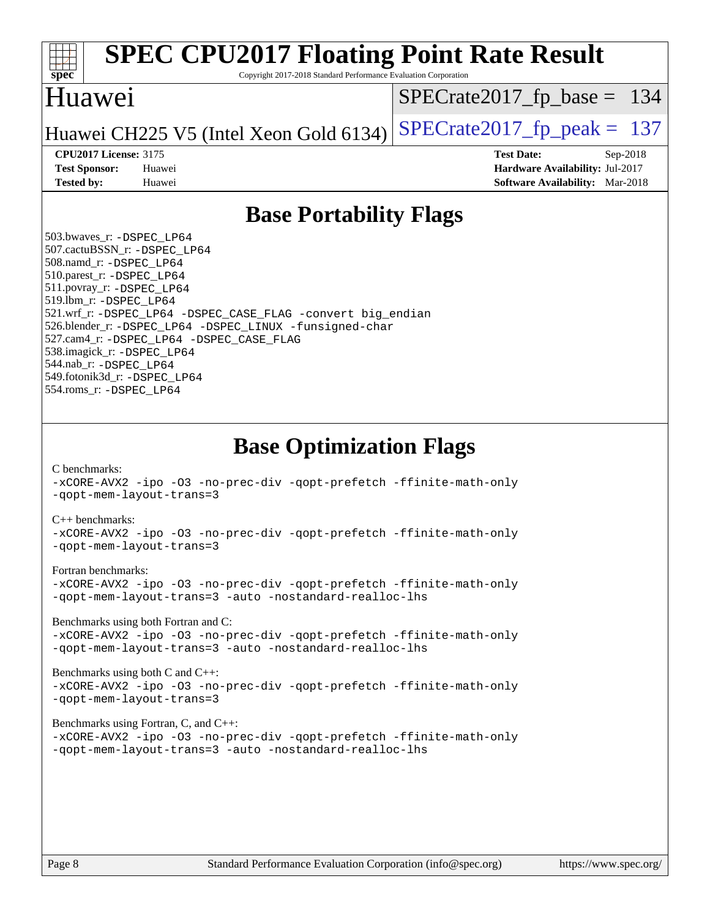

Copyright 2017-2018 Standard Performance Evaluation Corporation

### Huawei

[SPECrate2017\\_fp\\_base =](http://www.spec.org/auto/cpu2017/Docs/result-fields.html#SPECrate2017fpbase) 134

Huawei CH225 V5 (Intel Xeon Gold 6134) SPECrate  $2017$  fp peak = 137

**[CPU2017 License:](http://www.spec.org/auto/cpu2017/Docs/result-fields.html#CPU2017License)** 3175 **[Test Date:](http://www.spec.org/auto/cpu2017/Docs/result-fields.html#TestDate)** Sep-2018 **[Test Sponsor:](http://www.spec.org/auto/cpu2017/Docs/result-fields.html#TestSponsor)** Huawei **[Hardware Availability:](http://www.spec.org/auto/cpu2017/Docs/result-fields.html#HardwareAvailability)** Jul-2017 **[Tested by:](http://www.spec.org/auto/cpu2017/Docs/result-fields.html#Testedby)** Huawei **[Software Availability:](http://www.spec.org/auto/cpu2017/Docs/result-fields.html#SoftwareAvailability)** Mar-2018

## **[Base Portability Flags](http://www.spec.org/auto/cpu2017/Docs/result-fields.html#BasePortabilityFlags)**

 503.bwaves\_r: [-DSPEC\\_LP64](http://www.spec.org/cpu2017/results/res2018q4/cpu2017-20181007-09080.flags.html#suite_basePORTABILITY503_bwaves_r_DSPEC_LP64) 507.cactuBSSN\_r: [-DSPEC\\_LP64](http://www.spec.org/cpu2017/results/res2018q4/cpu2017-20181007-09080.flags.html#suite_basePORTABILITY507_cactuBSSN_r_DSPEC_LP64) 508.namd\_r: [-DSPEC\\_LP64](http://www.spec.org/cpu2017/results/res2018q4/cpu2017-20181007-09080.flags.html#suite_basePORTABILITY508_namd_r_DSPEC_LP64) 510.parest\_r: [-DSPEC\\_LP64](http://www.spec.org/cpu2017/results/res2018q4/cpu2017-20181007-09080.flags.html#suite_basePORTABILITY510_parest_r_DSPEC_LP64) 511.povray\_r: [-DSPEC\\_LP64](http://www.spec.org/cpu2017/results/res2018q4/cpu2017-20181007-09080.flags.html#suite_basePORTABILITY511_povray_r_DSPEC_LP64) 519.lbm\_r: [-DSPEC\\_LP64](http://www.spec.org/cpu2017/results/res2018q4/cpu2017-20181007-09080.flags.html#suite_basePORTABILITY519_lbm_r_DSPEC_LP64) 521.wrf\_r: [-DSPEC\\_LP64](http://www.spec.org/cpu2017/results/res2018q4/cpu2017-20181007-09080.flags.html#suite_basePORTABILITY521_wrf_r_DSPEC_LP64) [-DSPEC\\_CASE\\_FLAG](http://www.spec.org/cpu2017/results/res2018q4/cpu2017-20181007-09080.flags.html#b521.wrf_r_baseCPORTABILITY_DSPEC_CASE_FLAG) [-convert big\\_endian](http://www.spec.org/cpu2017/results/res2018q4/cpu2017-20181007-09080.flags.html#user_baseFPORTABILITY521_wrf_r_convert_big_endian_c3194028bc08c63ac5d04de18c48ce6d347e4e562e8892b8bdbdc0214820426deb8554edfa529a3fb25a586e65a3d812c835984020483e7e73212c4d31a38223) 526.blender\_r: [-DSPEC\\_LP64](http://www.spec.org/cpu2017/results/res2018q4/cpu2017-20181007-09080.flags.html#suite_basePORTABILITY526_blender_r_DSPEC_LP64) [-DSPEC\\_LINUX](http://www.spec.org/cpu2017/results/res2018q4/cpu2017-20181007-09080.flags.html#b526.blender_r_baseCPORTABILITY_DSPEC_LINUX) [-funsigned-char](http://www.spec.org/cpu2017/results/res2018q4/cpu2017-20181007-09080.flags.html#user_baseCPORTABILITY526_blender_r_force_uchar_40c60f00ab013830e2dd6774aeded3ff59883ba5a1fc5fc14077f794d777847726e2a5858cbc7672e36e1b067e7e5c1d9a74f7176df07886a243d7cc18edfe67) 527.cam4\_r: [-DSPEC\\_LP64](http://www.spec.org/cpu2017/results/res2018q4/cpu2017-20181007-09080.flags.html#suite_basePORTABILITY527_cam4_r_DSPEC_LP64) [-DSPEC\\_CASE\\_FLAG](http://www.spec.org/cpu2017/results/res2018q4/cpu2017-20181007-09080.flags.html#b527.cam4_r_baseCPORTABILITY_DSPEC_CASE_FLAG) 538.imagick\_r: [-DSPEC\\_LP64](http://www.spec.org/cpu2017/results/res2018q4/cpu2017-20181007-09080.flags.html#suite_basePORTABILITY538_imagick_r_DSPEC_LP64) 544.nab\_r: [-DSPEC\\_LP64](http://www.spec.org/cpu2017/results/res2018q4/cpu2017-20181007-09080.flags.html#suite_basePORTABILITY544_nab_r_DSPEC_LP64) 549.fotonik3d\_r: [-DSPEC\\_LP64](http://www.spec.org/cpu2017/results/res2018q4/cpu2017-20181007-09080.flags.html#suite_basePORTABILITY549_fotonik3d_r_DSPEC_LP64) 554.roms\_r: [-DSPEC\\_LP64](http://www.spec.org/cpu2017/results/res2018q4/cpu2017-20181007-09080.flags.html#suite_basePORTABILITY554_roms_r_DSPEC_LP64)

**[Base Optimization Flags](http://www.spec.org/auto/cpu2017/Docs/result-fields.html#BaseOptimizationFlags)**

[C benchmarks](http://www.spec.org/auto/cpu2017/Docs/result-fields.html#Cbenchmarks):

[-xCORE-AVX2](http://www.spec.org/cpu2017/results/res2018q4/cpu2017-20181007-09080.flags.html#user_CCbase_f-xCORE-AVX2) [-ipo](http://www.spec.org/cpu2017/results/res2018q4/cpu2017-20181007-09080.flags.html#user_CCbase_f-ipo) [-O3](http://www.spec.org/cpu2017/results/res2018q4/cpu2017-20181007-09080.flags.html#user_CCbase_f-O3) [-no-prec-div](http://www.spec.org/cpu2017/results/res2018q4/cpu2017-20181007-09080.flags.html#user_CCbase_f-no-prec-div) [-qopt-prefetch](http://www.spec.org/cpu2017/results/res2018q4/cpu2017-20181007-09080.flags.html#user_CCbase_f-qopt-prefetch) [-ffinite-math-only](http://www.spec.org/cpu2017/results/res2018q4/cpu2017-20181007-09080.flags.html#user_CCbase_f_finite_math_only_cb91587bd2077682c4b38af759c288ed7c732db004271a9512da14a4f8007909a5f1427ecbf1a0fb78ff2a814402c6114ac565ca162485bbcae155b5e4258871) [-qopt-mem-layout-trans=3](http://www.spec.org/cpu2017/results/res2018q4/cpu2017-20181007-09080.flags.html#user_CCbase_f-qopt-mem-layout-trans_de80db37974c74b1f0e20d883f0b675c88c3b01e9d123adea9b28688d64333345fb62bc4a798493513fdb68f60282f9a726aa07f478b2f7113531aecce732043)

### [C++ benchmarks:](http://www.spec.org/auto/cpu2017/Docs/result-fields.html#CXXbenchmarks)

[-xCORE-AVX2](http://www.spec.org/cpu2017/results/res2018q4/cpu2017-20181007-09080.flags.html#user_CXXbase_f-xCORE-AVX2) [-ipo](http://www.spec.org/cpu2017/results/res2018q4/cpu2017-20181007-09080.flags.html#user_CXXbase_f-ipo) [-O3](http://www.spec.org/cpu2017/results/res2018q4/cpu2017-20181007-09080.flags.html#user_CXXbase_f-O3) [-no-prec-div](http://www.spec.org/cpu2017/results/res2018q4/cpu2017-20181007-09080.flags.html#user_CXXbase_f-no-prec-div) [-qopt-prefetch](http://www.spec.org/cpu2017/results/res2018q4/cpu2017-20181007-09080.flags.html#user_CXXbase_f-qopt-prefetch) [-ffinite-math-only](http://www.spec.org/cpu2017/results/res2018q4/cpu2017-20181007-09080.flags.html#user_CXXbase_f_finite_math_only_cb91587bd2077682c4b38af759c288ed7c732db004271a9512da14a4f8007909a5f1427ecbf1a0fb78ff2a814402c6114ac565ca162485bbcae155b5e4258871) [-qopt-mem-layout-trans=3](http://www.spec.org/cpu2017/results/res2018q4/cpu2017-20181007-09080.flags.html#user_CXXbase_f-qopt-mem-layout-trans_de80db37974c74b1f0e20d883f0b675c88c3b01e9d123adea9b28688d64333345fb62bc4a798493513fdb68f60282f9a726aa07f478b2f7113531aecce732043)

### [Fortran benchmarks](http://www.spec.org/auto/cpu2017/Docs/result-fields.html#Fortranbenchmarks):

[-xCORE-AVX2](http://www.spec.org/cpu2017/results/res2018q4/cpu2017-20181007-09080.flags.html#user_FCbase_f-xCORE-AVX2) [-ipo](http://www.spec.org/cpu2017/results/res2018q4/cpu2017-20181007-09080.flags.html#user_FCbase_f-ipo) [-O3](http://www.spec.org/cpu2017/results/res2018q4/cpu2017-20181007-09080.flags.html#user_FCbase_f-O3) [-no-prec-div](http://www.spec.org/cpu2017/results/res2018q4/cpu2017-20181007-09080.flags.html#user_FCbase_f-no-prec-div) [-qopt-prefetch](http://www.spec.org/cpu2017/results/res2018q4/cpu2017-20181007-09080.flags.html#user_FCbase_f-qopt-prefetch) [-ffinite-math-only](http://www.spec.org/cpu2017/results/res2018q4/cpu2017-20181007-09080.flags.html#user_FCbase_f_finite_math_only_cb91587bd2077682c4b38af759c288ed7c732db004271a9512da14a4f8007909a5f1427ecbf1a0fb78ff2a814402c6114ac565ca162485bbcae155b5e4258871) [-qopt-mem-layout-trans=3](http://www.spec.org/cpu2017/results/res2018q4/cpu2017-20181007-09080.flags.html#user_FCbase_f-qopt-mem-layout-trans_de80db37974c74b1f0e20d883f0b675c88c3b01e9d123adea9b28688d64333345fb62bc4a798493513fdb68f60282f9a726aa07f478b2f7113531aecce732043) [-auto](http://www.spec.org/cpu2017/results/res2018q4/cpu2017-20181007-09080.flags.html#user_FCbase_f-auto) [-nostandard-realloc-lhs](http://www.spec.org/cpu2017/results/res2018q4/cpu2017-20181007-09080.flags.html#user_FCbase_f_2003_std_realloc_82b4557e90729c0f113870c07e44d33d6f5a304b4f63d4c15d2d0f1fab99f5daaed73bdb9275d9ae411527f28b936061aa8b9c8f2d63842963b95c9dd6426b8a)

[Benchmarks using both Fortran and C](http://www.spec.org/auto/cpu2017/Docs/result-fields.html#BenchmarksusingbothFortranandC):

[-xCORE-AVX2](http://www.spec.org/cpu2017/results/res2018q4/cpu2017-20181007-09080.flags.html#user_CC_FCbase_f-xCORE-AVX2) [-ipo](http://www.spec.org/cpu2017/results/res2018q4/cpu2017-20181007-09080.flags.html#user_CC_FCbase_f-ipo) [-O3](http://www.spec.org/cpu2017/results/res2018q4/cpu2017-20181007-09080.flags.html#user_CC_FCbase_f-O3) [-no-prec-div](http://www.spec.org/cpu2017/results/res2018q4/cpu2017-20181007-09080.flags.html#user_CC_FCbase_f-no-prec-div) [-qopt-prefetch](http://www.spec.org/cpu2017/results/res2018q4/cpu2017-20181007-09080.flags.html#user_CC_FCbase_f-qopt-prefetch) [-ffinite-math-only](http://www.spec.org/cpu2017/results/res2018q4/cpu2017-20181007-09080.flags.html#user_CC_FCbase_f_finite_math_only_cb91587bd2077682c4b38af759c288ed7c732db004271a9512da14a4f8007909a5f1427ecbf1a0fb78ff2a814402c6114ac565ca162485bbcae155b5e4258871) [-qopt-mem-layout-trans=3](http://www.spec.org/cpu2017/results/res2018q4/cpu2017-20181007-09080.flags.html#user_CC_FCbase_f-qopt-mem-layout-trans_de80db37974c74b1f0e20d883f0b675c88c3b01e9d123adea9b28688d64333345fb62bc4a798493513fdb68f60282f9a726aa07f478b2f7113531aecce732043) [-auto](http://www.spec.org/cpu2017/results/res2018q4/cpu2017-20181007-09080.flags.html#user_CC_FCbase_f-auto) [-nostandard-realloc-lhs](http://www.spec.org/cpu2017/results/res2018q4/cpu2017-20181007-09080.flags.html#user_CC_FCbase_f_2003_std_realloc_82b4557e90729c0f113870c07e44d33d6f5a304b4f63d4c15d2d0f1fab99f5daaed73bdb9275d9ae411527f28b936061aa8b9c8f2d63842963b95c9dd6426b8a)

[Benchmarks using both C and C++](http://www.spec.org/auto/cpu2017/Docs/result-fields.html#BenchmarksusingbothCandCXX): [-xCORE-AVX2](http://www.spec.org/cpu2017/results/res2018q4/cpu2017-20181007-09080.flags.html#user_CC_CXXbase_f-xCORE-AVX2) [-ipo](http://www.spec.org/cpu2017/results/res2018q4/cpu2017-20181007-09080.flags.html#user_CC_CXXbase_f-ipo) [-O3](http://www.spec.org/cpu2017/results/res2018q4/cpu2017-20181007-09080.flags.html#user_CC_CXXbase_f-O3) [-no-prec-div](http://www.spec.org/cpu2017/results/res2018q4/cpu2017-20181007-09080.flags.html#user_CC_CXXbase_f-no-prec-div) [-qopt-prefetch](http://www.spec.org/cpu2017/results/res2018q4/cpu2017-20181007-09080.flags.html#user_CC_CXXbase_f-qopt-prefetch) [-ffinite-math-only](http://www.spec.org/cpu2017/results/res2018q4/cpu2017-20181007-09080.flags.html#user_CC_CXXbase_f_finite_math_only_cb91587bd2077682c4b38af759c288ed7c732db004271a9512da14a4f8007909a5f1427ecbf1a0fb78ff2a814402c6114ac565ca162485bbcae155b5e4258871) [-qopt-mem-layout-trans=3](http://www.spec.org/cpu2017/results/res2018q4/cpu2017-20181007-09080.flags.html#user_CC_CXXbase_f-qopt-mem-layout-trans_de80db37974c74b1f0e20d883f0b675c88c3b01e9d123adea9b28688d64333345fb62bc4a798493513fdb68f60282f9a726aa07f478b2f7113531aecce732043)

### [Benchmarks using Fortran, C, and C++:](http://www.spec.org/auto/cpu2017/Docs/result-fields.html#BenchmarksusingFortranCandCXX)

[-xCORE-AVX2](http://www.spec.org/cpu2017/results/res2018q4/cpu2017-20181007-09080.flags.html#user_CC_CXX_FCbase_f-xCORE-AVX2) [-ipo](http://www.spec.org/cpu2017/results/res2018q4/cpu2017-20181007-09080.flags.html#user_CC_CXX_FCbase_f-ipo) [-O3](http://www.spec.org/cpu2017/results/res2018q4/cpu2017-20181007-09080.flags.html#user_CC_CXX_FCbase_f-O3) [-no-prec-div](http://www.spec.org/cpu2017/results/res2018q4/cpu2017-20181007-09080.flags.html#user_CC_CXX_FCbase_f-no-prec-div) [-qopt-prefetch](http://www.spec.org/cpu2017/results/res2018q4/cpu2017-20181007-09080.flags.html#user_CC_CXX_FCbase_f-qopt-prefetch) [-ffinite-math-only](http://www.spec.org/cpu2017/results/res2018q4/cpu2017-20181007-09080.flags.html#user_CC_CXX_FCbase_f_finite_math_only_cb91587bd2077682c4b38af759c288ed7c732db004271a9512da14a4f8007909a5f1427ecbf1a0fb78ff2a814402c6114ac565ca162485bbcae155b5e4258871) [-qopt-mem-layout-trans=3](http://www.spec.org/cpu2017/results/res2018q4/cpu2017-20181007-09080.flags.html#user_CC_CXX_FCbase_f-qopt-mem-layout-trans_de80db37974c74b1f0e20d883f0b675c88c3b01e9d123adea9b28688d64333345fb62bc4a798493513fdb68f60282f9a726aa07f478b2f7113531aecce732043) [-auto](http://www.spec.org/cpu2017/results/res2018q4/cpu2017-20181007-09080.flags.html#user_CC_CXX_FCbase_f-auto) [-nostandard-realloc-lhs](http://www.spec.org/cpu2017/results/res2018q4/cpu2017-20181007-09080.flags.html#user_CC_CXX_FCbase_f_2003_std_realloc_82b4557e90729c0f113870c07e44d33d6f5a304b4f63d4c15d2d0f1fab99f5daaed73bdb9275d9ae411527f28b936061aa8b9c8f2d63842963b95c9dd6426b8a)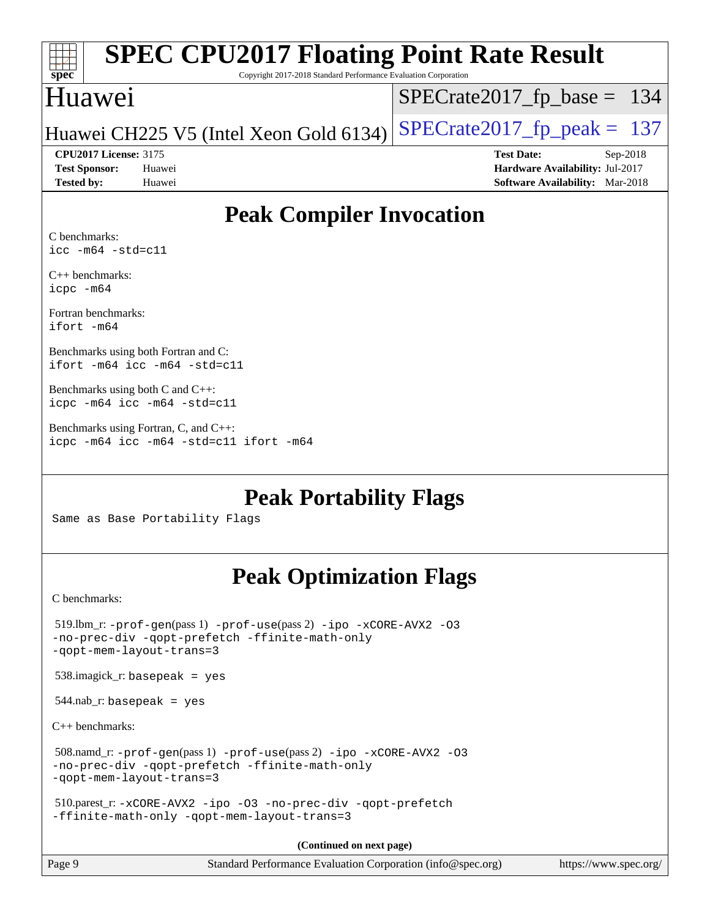| SI<br>oec |  |  |  |  |  |
|-----------|--|--|--|--|--|

Copyright 2017-2018 Standard Performance Evaluation Corporation

## Huawei

[SPECrate2017\\_fp\\_base =](http://www.spec.org/auto/cpu2017/Docs/result-fields.html#SPECrate2017fpbase) 134

Huawei CH225 V5 (Intel Xeon Gold 6134) SPECrate  $2017$  fp peak = 137

**[Tested by:](http://www.spec.org/auto/cpu2017/Docs/result-fields.html#Testedby)** Huawei **[Software Availability:](http://www.spec.org/auto/cpu2017/Docs/result-fields.html#SoftwareAvailability)** Mar-2018

**[CPU2017 License:](http://www.spec.org/auto/cpu2017/Docs/result-fields.html#CPU2017License)** 3175 **[Test Date:](http://www.spec.org/auto/cpu2017/Docs/result-fields.html#TestDate)** Sep-2018 **[Test Sponsor:](http://www.spec.org/auto/cpu2017/Docs/result-fields.html#TestSponsor)** Huawei **[Hardware Availability:](http://www.spec.org/auto/cpu2017/Docs/result-fields.html#HardwareAvailability)** Jul-2017

## **[Peak Compiler Invocation](http://www.spec.org/auto/cpu2017/Docs/result-fields.html#PeakCompilerInvocation)**

[C benchmarks:](http://www.spec.org/auto/cpu2017/Docs/result-fields.html#Cbenchmarks) [icc -m64 -std=c11](http://www.spec.org/cpu2017/results/res2018q4/cpu2017-20181007-09080.flags.html#user_CCpeak_intel_icc_64bit_c11_33ee0cdaae7deeeab2a9725423ba97205ce30f63b9926c2519791662299b76a0318f32ddfffdc46587804de3178b4f9328c46fa7c2b0cd779d7a61945c91cd35)

[C++ benchmarks:](http://www.spec.org/auto/cpu2017/Docs/result-fields.html#CXXbenchmarks) [icpc -m64](http://www.spec.org/cpu2017/results/res2018q4/cpu2017-20181007-09080.flags.html#user_CXXpeak_intel_icpc_64bit_4ecb2543ae3f1412ef961e0650ca070fec7b7afdcd6ed48761b84423119d1bf6bdf5cad15b44d48e7256388bc77273b966e5eb805aefd121eb22e9299b2ec9d9)

[Fortran benchmarks](http://www.spec.org/auto/cpu2017/Docs/result-fields.html#Fortranbenchmarks): [ifort -m64](http://www.spec.org/cpu2017/results/res2018q4/cpu2017-20181007-09080.flags.html#user_FCpeak_intel_ifort_64bit_24f2bb282fbaeffd6157abe4f878425411749daecae9a33200eee2bee2fe76f3b89351d69a8130dd5949958ce389cf37ff59a95e7a40d588e8d3a57e0c3fd751)

[Benchmarks using both Fortran and C:](http://www.spec.org/auto/cpu2017/Docs/result-fields.html#BenchmarksusingbothFortranandC) [ifort -m64](http://www.spec.org/cpu2017/results/res2018q4/cpu2017-20181007-09080.flags.html#user_CC_FCpeak_intel_ifort_64bit_24f2bb282fbaeffd6157abe4f878425411749daecae9a33200eee2bee2fe76f3b89351d69a8130dd5949958ce389cf37ff59a95e7a40d588e8d3a57e0c3fd751) [icc -m64 -std=c11](http://www.spec.org/cpu2017/results/res2018q4/cpu2017-20181007-09080.flags.html#user_CC_FCpeak_intel_icc_64bit_c11_33ee0cdaae7deeeab2a9725423ba97205ce30f63b9926c2519791662299b76a0318f32ddfffdc46587804de3178b4f9328c46fa7c2b0cd779d7a61945c91cd35)

[Benchmarks using both C and C++](http://www.spec.org/auto/cpu2017/Docs/result-fields.html#BenchmarksusingbothCandCXX): [icpc -m64](http://www.spec.org/cpu2017/results/res2018q4/cpu2017-20181007-09080.flags.html#user_CC_CXXpeak_intel_icpc_64bit_4ecb2543ae3f1412ef961e0650ca070fec7b7afdcd6ed48761b84423119d1bf6bdf5cad15b44d48e7256388bc77273b966e5eb805aefd121eb22e9299b2ec9d9) [icc -m64 -std=c11](http://www.spec.org/cpu2017/results/res2018q4/cpu2017-20181007-09080.flags.html#user_CC_CXXpeak_intel_icc_64bit_c11_33ee0cdaae7deeeab2a9725423ba97205ce30f63b9926c2519791662299b76a0318f32ddfffdc46587804de3178b4f9328c46fa7c2b0cd779d7a61945c91cd35)

[Benchmarks using Fortran, C, and C++:](http://www.spec.org/auto/cpu2017/Docs/result-fields.html#BenchmarksusingFortranCandCXX) [icpc -m64](http://www.spec.org/cpu2017/results/res2018q4/cpu2017-20181007-09080.flags.html#user_CC_CXX_FCpeak_intel_icpc_64bit_4ecb2543ae3f1412ef961e0650ca070fec7b7afdcd6ed48761b84423119d1bf6bdf5cad15b44d48e7256388bc77273b966e5eb805aefd121eb22e9299b2ec9d9) [icc -m64 -std=c11](http://www.spec.org/cpu2017/results/res2018q4/cpu2017-20181007-09080.flags.html#user_CC_CXX_FCpeak_intel_icc_64bit_c11_33ee0cdaae7deeeab2a9725423ba97205ce30f63b9926c2519791662299b76a0318f32ddfffdc46587804de3178b4f9328c46fa7c2b0cd779d7a61945c91cd35) [ifort -m64](http://www.spec.org/cpu2017/results/res2018q4/cpu2017-20181007-09080.flags.html#user_CC_CXX_FCpeak_intel_ifort_64bit_24f2bb282fbaeffd6157abe4f878425411749daecae9a33200eee2bee2fe76f3b89351d69a8130dd5949958ce389cf37ff59a95e7a40d588e8d3a57e0c3fd751)

**[Peak Portability Flags](http://www.spec.org/auto/cpu2017/Docs/result-fields.html#PeakPortabilityFlags)**

Same as Base Portability Flags

## **[Peak Optimization Flags](http://www.spec.org/auto/cpu2017/Docs/result-fields.html#PeakOptimizationFlags)**

[C benchmarks](http://www.spec.org/auto/cpu2017/Docs/result-fields.html#Cbenchmarks):

| Page 9                                  | Standard Performance Evaluation Corporation (info@spec.org)                                                               | https://www.spec.org/ |
|-----------------------------------------|---------------------------------------------------------------------------------------------------------------------------|-----------------------|
|                                         | (Continued on next page)                                                                                                  |                       |
|                                         | 510.parest_r: -xCORE-AVX2 -ipo -03 -no-prec-div -qopt-prefetch<br>-ffinite-math-only -gopt-mem-layout-trans=3             |                       |
| -qopt-mem-layout-trans=3                | $508$ .namd_r: -prof-gen(pass 1) -prof-use(pass 2) -ipo -xCORE-AVX2 -03<br>-no-prec-div -qopt-prefetch -ffinite-math-only |                       |
| $C_{++}$ benchmarks:                    |                                                                                                                           |                       |
| $544 \text{.nab}$ r: basepeak = yes     |                                                                                                                           |                       |
| $538.\text{imagick}_r$ : basepeak = yes |                                                                                                                           |                       |
| -qopt-mem-layout-trans=3                | $519.$ lbm_r: -prof-qen(pass 1) -prof-use(pass 2) -ipo -xCORE-AVX2 -03<br>-no-prec-div -qopt-prefetch -ffinite-math-only  |                       |
|                                         |                                                                                                                           |                       |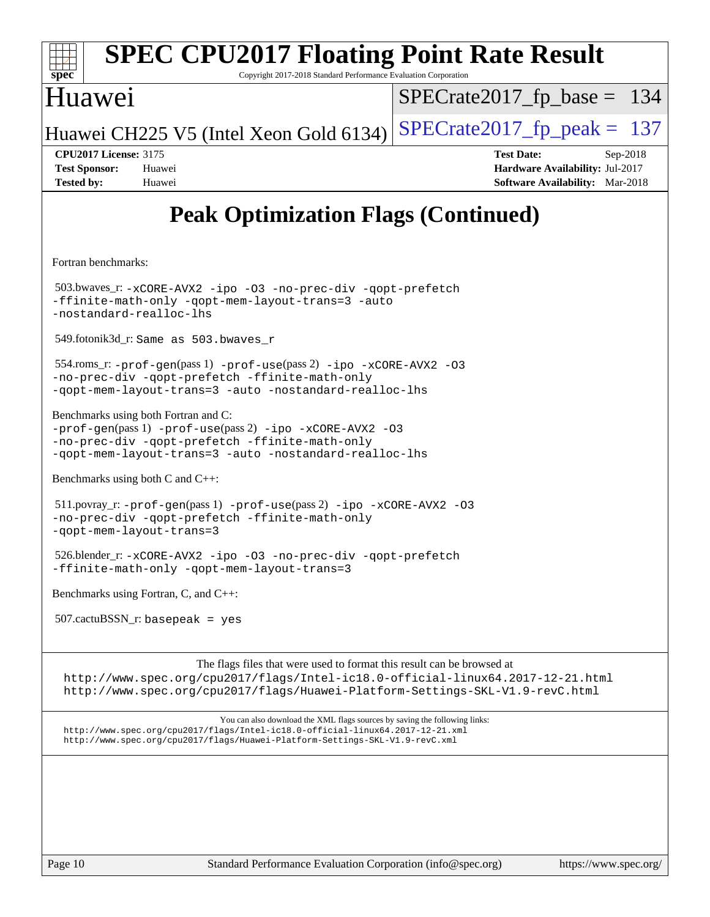

The flags files that were used to format this result can be browsed at

<http://www.spec.org/cpu2017/flags/Intel-ic18.0-official-linux64.2017-12-21.html> <http://www.spec.org/cpu2017/flags/Huawei-Platform-Settings-SKL-V1.9-revC.html>

You can also download the XML flags sources by saving the following links: <http://www.spec.org/cpu2017/flags/Intel-ic18.0-official-linux64.2017-12-21.xml> <http://www.spec.org/cpu2017/flags/Huawei-Platform-Settings-SKL-V1.9-revC.xml>

Page 10 Standard Performance Evaluation Corporation [\(info@spec.org\)](mailto:info@spec.org) <https://www.spec.org/>